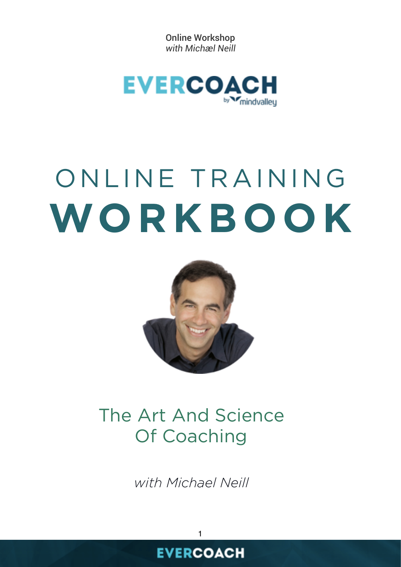Online Workshop *with Michæl Neill*



# ONLINE TRAINING **WORKBOOK**



# The Art And Science Of Coaching

*with Michael Neill*

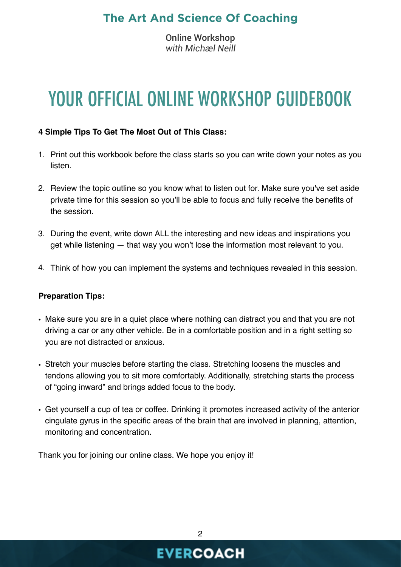Online Workshop *with Michæl Neill*

# YOUR OFFICIAL ONLINE WORKSHOP GUIDEBOOK

#### **4 Simple Tips To Get The Most Out of This Class:**

- 1. Print out this workbook before the class starts so you can write down your notes as you listen.
- 2. Review the topic outline so you know what to listen out for. Make sure you've set aside private time for this session so you'll be able to focus and fully receive the benefits of the session.
- 3. During the event, write down ALL the interesting and new ideas and inspirations you get while listening — that way you won't lose the information most relevant to you.
- 4. Think of how you can implement the systems and techniques revealed in this session.

#### **Preparation Tips:**

- Make sure you are in a quiet place where nothing can distract you and that you are not driving a car or any other vehicle. Be in a comfortable position and in a right setting so you are not distracted or anxious.
- Stretch your muscles before starting the class. Stretching loosens the muscles and tendons allowing you to sit more comfortably. Additionally, stretching starts the process of "going inward" and brings added focus to the body.
- Get yourself a cup of tea or coffee. Drinking it promotes increased activity of the anterior cingulate gyrus in the specific areas of the brain that are involved in planning, attention, monitoring and concentration.

Thank you for joining our online class. We hope you enjoy it!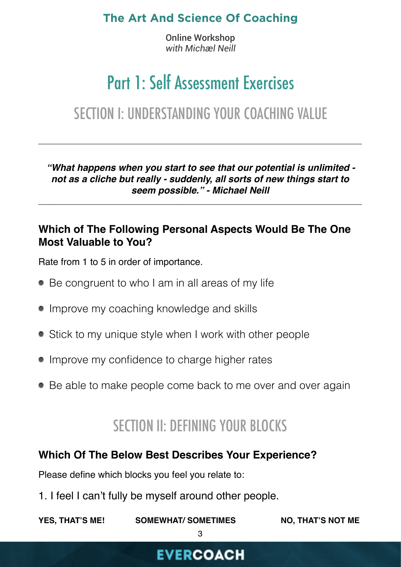Online Workshop *with Michæl Neill*

# Part 1: Self Assessment Exercises

# SECTION I: UNDERSTANDING YOUR COACHING VALUE

\_\_\_\_\_\_\_\_\_\_\_\_\_\_\_\_\_\_\_\_\_\_\_\_\_\_\_\_\_\_\_\_\_\_\_\_\_\_\_\_\_\_\_\_\_\_\_\_\_\_\_\_\_\_\_\_\_\_\_\_\_\_\_\_\_\_\_\_\_\_\_\_

*"What happens when you start to see that our potential is unlimited not as a cliche but really - suddenly, all sorts of new things start to seem possible." - Michael Neill*

\_\_\_\_\_\_\_\_\_\_\_\_\_\_\_\_\_\_\_\_\_\_\_\_\_\_\_\_\_\_\_\_\_\_\_\_\_\_\_\_\_\_\_\_\_\_\_\_\_\_\_\_\_\_\_\_\_\_\_\_\_\_\_\_\_\_\_\_\_\_\_\_

#### **Which of The Following Personal Aspects Would Be The One Most Valuable to You?**

Rate from 1 to 5 in order of importance.

- Be congruent to who I am in all areas of my life
- Improve my coaching knowledge and skills
- Stick to my unique style when I work with other people
- Improve my confidence to charge higher rates
- Be able to make people come back to me over and over again

# SECTION II: DEFINING YOUR BLOCKS

#### **Which Of The Below Best Describes Your Experience?**

Please define which blocks you feel you relate to:

1. I feel I can't fully be myself around other people.

YES, THAT'S ME! SOMEWHAT/ SOMETIMES NO, THAT'S NOT ME

3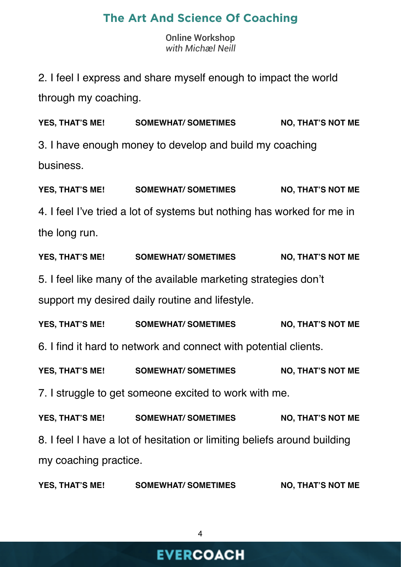Online Workshop *with Michæl Neill*

2. I feel I express and share myself enough to impact the world through my coaching.

YES, THAT'S ME! SOMEWHAT/ SOMETIMES NO, THAT'S NOT ME 3. I have enough money to develop and build my coaching business.

YES, THAT'S ME! SOMEWHAT/ SOMETIMES NO, THAT'S NOT ME 4. I feel I've tried a lot of systems but nothing has worked for me in the long run.

YES, THAT'S ME! SOMEWHAT/ SOMETIMES NO, THAT'S NOT ME 5. I feel like many of the available marketing strategies don't support my desired daily routine and lifestyle.

YES, THAT'S ME! SOMEWHAT/ SOMETIMES NO, THAT'S NOT ME 6. I find it hard to network and connect with potential clients.

YES, THAT'S ME! SOMEWHAT/ SOMETIMES NO, THAT'S NOT ME

7. I struggle to get someone excited to work with me.

YES, THAT'S ME! SOMEWHAT/ SOMETIMES NO, THAT'S NOT ME 8. I feel I have a lot of hesitation or limiting beliefs around building my coaching practice.

YES, THAT'S ME! SOMEWHAT/ SOMETIMES NO, THAT'S NOT ME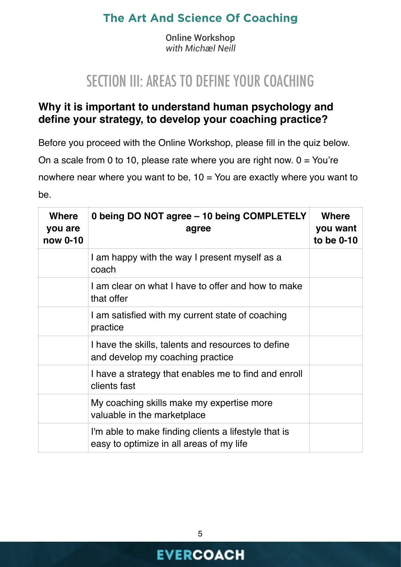Online Workshop *with Michæl Neill*

# SECTION III: AREAS TO DEFINE YOUR COACHING

#### **Why it is important to understand human psychology and define your strategy, to develop your coaching practice?**

Before you proceed with the Online Workshop, please fill in the quiz below.

On a scale from 0 to 10, please rate where you are right now.  $0 = You're$ 

nowhere near where you want to be,  $10 =$  You are exactly where you want to

be.

| <b>Where</b><br>you are<br>now 0-10 | 0 being DO NOT agree - 10 being COMPLETELY<br>agree                                              | <b>Where</b><br>you want<br>to be 0-10 |
|-------------------------------------|--------------------------------------------------------------------------------------------------|----------------------------------------|
|                                     | I am happy with the way I present myself as a<br>coach                                           |                                        |
|                                     | I am clear on what I have to offer and how to make<br>that offer                                 |                                        |
|                                     | I am satisfied with my current state of coaching<br>practice                                     |                                        |
|                                     | I have the skills, talents and resources to define<br>and develop my coaching practice           |                                        |
|                                     | I have a strategy that enables me to find and enroll<br>clients fast                             |                                        |
|                                     | My coaching skills make my expertise more<br>valuable in the marketplace                         |                                        |
|                                     | I'm able to make finding clients a lifestyle that is<br>easy to optimize in all areas of my life |                                        |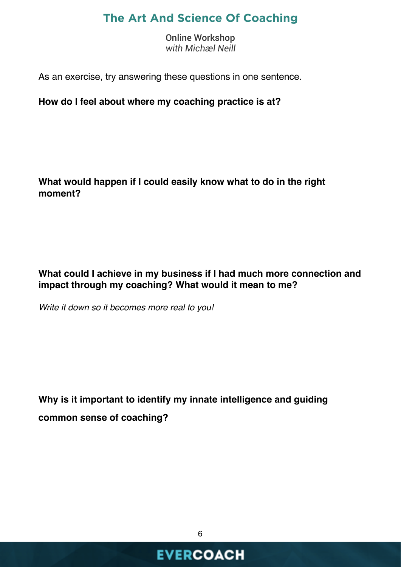Online Workshop *with Michæl Neill*

As an exercise, try answering these questions in one sentence.

**How do I feel about where my coaching practice is at?** 

**What would happen if I could easily know what to do in the right moment?**

**What could I achieve in my business if I had much more connection and impact through my coaching? What would it mean to me?** 

*Write it down so it becomes more real to you!*

**Why is it important to identify my innate intelligence and guiding common sense of coaching?**

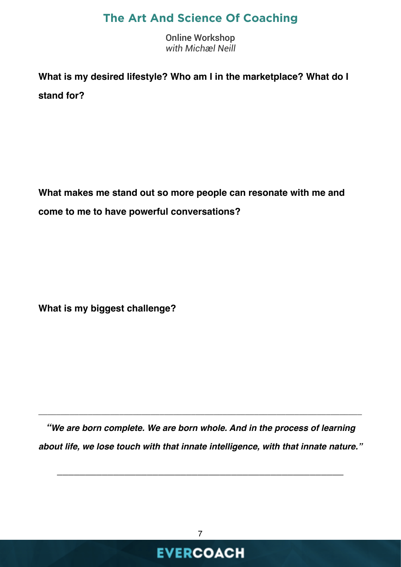Online Workshop *with Michæl Neill*

**What is my desired lifestyle? Who am I in the marketplace? What do I stand for?**

**What makes me stand out so more people can resonate with me and come to me to have powerful conversations?**

**What is my biggest challenge?**

*"We are born complete. We are born whole. And in the process of learning about life, we lose touch with that innate intelligence, with that innate nature."*

*\_\_\_\_\_\_\_\_\_\_\_\_\_\_\_\_\_\_\_\_\_\_\_\_\_\_\_\_\_\_\_\_\_\_\_\_\_\_\_\_\_\_\_\_\_\_\_\_\_\_\_*

\_\_\_\_\_\_\_\_\_\_\_\_\_\_\_\_\_\_\_\_\_\_\_\_\_\_\_\_\_\_\_\_\_\_\_\_\_\_\_\_\_\_\_\_\_\_\_\_\_\_\_\_\_\_\_\_\_\_\_\_\_\_\_\_\_\_\_\_\_\_\_\_

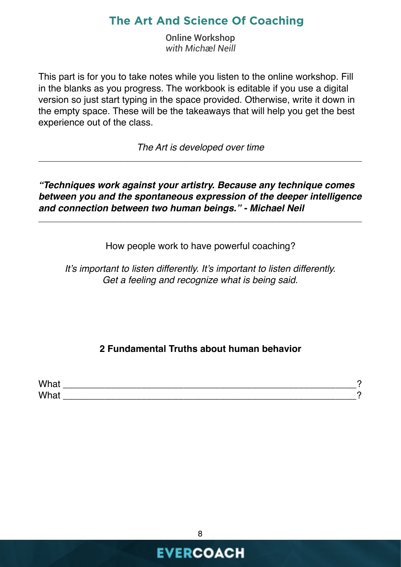Online Workshop *with Michæl Neill*

This part is for you to take notes while you listen to the online workshop. Fill in the blanks as you progress. The workbook is editable if you use a digital version so just start typing in the space provided. Otherwise, write it down in the empty space. These will be the takeaways that will help you get the best experience out of the class.

*The Art is developed over time*  \_\_\_\_\_\_\_\_\_\_\_\_\_\_\_\_\_\_\_\_\_\_\_\_\_\_\_\_\_\_\_\_\_\_\_\_\_\_\_\_\_\_\_\_\_\_\_\_\_\_\_\_\_\_\_\_\_\_\_\_\_\_\_\_\_\_\_\_\_\_\_\_

*"Techniques work against your artistry. Because any technique comes between you and the spontaneous expression of the deeper intelligence and connection between two human beings." - Michael Neil*

\_\_\_\_\_\_\_\_\_\_\_\_\_\_\_\_\_\_\_\_\_\_\_\_\_\_\_\_\_\_\_\_\_\_\_\_\_\_\_\_\_\_\_\_\_\_\_\_\_\_\_\_\_\_\_\_\_\_\_\_\_\_\_\_\_\_\_\_\_\_\_\_

How people work to have powerful coaching?

*It's important to listen differently. It's important to listen differently. Get a feeling and recognize what is being said.*

#### **2 Fundamental Truths about human behavior**

| What |  |
|------|--|
| What |  |

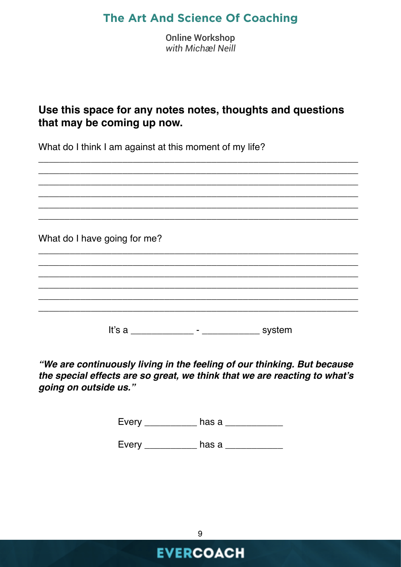Online Workshop *with Michæl Neill*

#### **Use this space for any notes notes, thoughts and questions that may be coming up now.**

\_\_\_\_\_\_\_\_\_\_\_\_\_\_\_\_\_\_\_\_\_\_\_\_\_\_\_\_\_\_\_\_\_\_\_\_\_\_\_\_\_\_\_\_\_\_\_\_\_\_\_\_\_\_\_\_\_\_\_\_\_

What do I think I am against at this moment of my life?

\_\_\_\_\_\_\_\_\_\_\_\_\_\_\_\_\_\_\_\_\_\_\_\_\_\_\_\_\_\_\_\_\_\_\_\_\_\_\_\_\_\_\_\_\_\_\_\_\_\_\_\_\_\_\_\_\_\_\_\_\_ \_\_\_\_\_\_\_\_\_\_\_\_\_\_\_\_\_\_\_\_\_\_\_\_\_\_\_\_\_\_\_\_\_\_\_\_\_\_\_\_\_\_\_\_\_\_\_\_\_\_\_\_\_\_\_\_\_\_\_\_\_ \_\_\_\_\_\_\_\_\_\_\_\_\_\_\_\_\_\_\_\_\_\_\_\_\_\_\_\_\_\_\_\_\_\_\_\_\_\_\_\_\_\_\_\_\_\_\_\_\_\_\_\_\_\_\_\_\_\_\_\_\_ \_\_\_\_\_\_\_\_\_\_\_\_\_\_\_\_\_\_\_\_\_\_\_\_\_\_\_\_\_\_\_\_\_\_\_\_\_\_\_\_\_\_\_\_\_\_\_\_\_\_\_\_\_\_\_\_\_\_\_\_\_ \_\_\_\_\_\_\_\_\_\_\_\_\_\_\_\_\_\_\_\_\_\_\_\_\_\_\_\_\_\_\_\_\_\_\_\_\_\_\_\_\_\_\_\_\_\_\_\_\_\_\_\_\_\_\_\_\_\_\_\_\_ What do I have going for me? \_\_\_\_\_\_\_\_\_\_\_\_\_\_\_\_\_\_\_\_\_\_\_\_\_\_\_\_\_\_\_\_\_\_\_\_\_\_\_\_\_\_\_\_\_\_\_\_\_\_\_\_\_\_\_\_\_\_\_\_\_ \_\_\_\_\_\_\_\_\_\_\_\_\_\_\_\_\_\_\_\_\_\_\_\_\_\_\_\_\_\_\_\_\_\_\_\_\_\_\_\_\_\_\_\_\_\_\_\_\_\_\_\_\_\_\_\_\_\_\_\_\_ \_\_\_\_\_\_\_\_\_\_\_\_\_\_\_\_\_\_\_\_\_\_\_\_\_\_\_\_\_\_\_\_\_\_\_\_\_\_\_\_\_\_\_\_\_\_\_\_\_\_\_\_\_\_\_\_\_\_\_\_\_ \_\_\_\_\_\_\_\_\_\_\_\_\_\_\_\_\_\_\_\_\_\_\_\_\_\_\_\_\_\_\_\_\_\_\_\_\_\_\_\_\_\_\_\_\_\_\_\_\_\_\_\_\_\_\_\_\_\_\_\_\_ \_\_\_\_\_\_\_\_\_\_\_\_\_\_\_\_\_\_\_\_\_\_\_\_\_\_\_\_\_\_\_\_\_\_\_\_\_\_\_\_\_\_\_\_\_\_\_\_\_\_\_\_\_\_\_\_\_\_\_\_\_ \_\_\_\_\_\_\_\_\_\_\_\_\_\_\_\_\_\_\_\_\_\_\_\_\_\_\_\_\_\_\_\_\_\_\_\_\_\_\_\_\_\_\_\_\_\_\_\_\_\_\_\_\_\_\_\_\_\_\_\_\_ It's a \_\_\_\_\_\_\_\_\_\_\_\_\_\_\_\_ - \_\_\_\_\_\_\_\_\_\_\_\_\_\_\_\_ system

*"We are continuously living in the feeling of our thinking. But because the special effects are so great, we think that we are reacting to what's going on outside us."*

Every \_\_\_\_\_\_\_\_\_\_ has a \_\_\_\_\_\_\_\_\_\_\_

Every has a contract the has a set of  $\sim$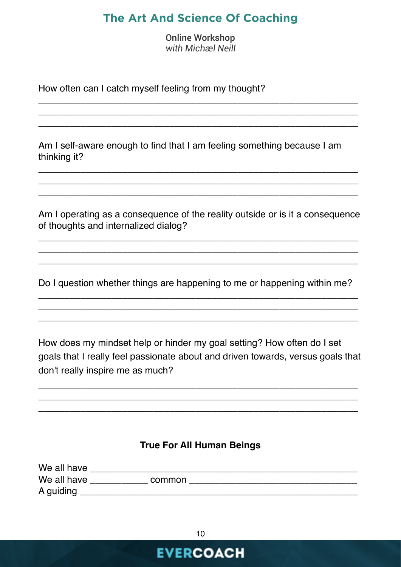Online Workshop *with Michæl Neill*

\_\_\_\_\_\_\_\_\_\_\_\_\_\_\_\_\_\_\_\_\_\_\_\_\_\_\_\_\_\_\_\_\_\_\_\_\_\_\_\_\_\_\_\_\_\_\_\_\_\_\_\_\_\_\_\_\_\_\_\_\_ \_\_\_\_\_\_\_\_\_\_\_\_\_\_\_\_\_\_\_\_\_\_\_\_\_\_\_\_\_\_\_\_\_\_\_\_\_\_\_\_\_\_\_\_\_\_\_\_\_\_\_\_\_\_\_\_\_\_\_\_\_ \_\_\_\_\_\_\_\_\_\_\_\_\_\_\_\_\_\_\_\_\_\_\_\_\_\_\_\_\_\_\_\_\_\_\_\_\_\_\_\_\_\_\_\_\_\_\_\_\_\_\_\_\_\_\_\_\_\_\_\_\_

How often can I catch myself feeling from my thought?

Am I self-aware enough to find that I am feeling something because I am thinking it?

Am I operating as a consequence of the reality outside or is it a consequence of thoughts and internalized dialog?

\_\_\_\_\_\_\_\_\_\_\_\_\_\_\_\_\_\_\_\_\_\_\_\_\_\_\_\_\_\_\_\_\_\_\_\_\_\_\_\_\_\_\_\_\_\_\_\_\_\_\_\_\_\_\_\_\_\_\_\_\_ \_\_\_\_\_\_\_\_\_\_\_\_\_\_\_\_\_\_\_\_\_\_\_\_\_\_\_\_\_\_\_\_\_\_\_\_\_\_\_\_\_\_\_\_\_\_\_\_\_\_\_\_\_\_\_\_\_\_\_\_\_ \_\_\_\_\_\_\_\_\_\_\_\_\_\_\_\_\_\_\_\_\_\_\_\_\_\_\_\_\_\_\_\_\_\_\_\_\_\_\_\_\_\_\_\_\_\_\_\_\_\_\_\_\_\_\_\_\_\_\_\_\_

\_\_\_\_\_\_\_\_\_\_\_\_\_\_\_\_\_\_\_\_\_\_\_\_\_\_\_\_\_\_\_\_\_\_\_\_\_\_\_\_\_\_\_\_\_\_\_\_\_\_\_\_\_\_\_\_\_\_\_\_\_ \_\_\_\_\_\_\_\_\_\_\_\_\_\_\_\_\_\_\_\_\_\_\_\_\_\_\_\_\_\_\_\_\_\_\_\_\_\_\_\_\_\_\_\_\_\_\_\_\_\_\_\_\_\_\_\_\_\_\_\_\_ \_\_\_\_\_\_\_\_\_\_\_\_\_\_\_\_\_\_\_\_\_\_\_\_\_\_\_\_\_\_\_\_\_\_\_\_\_\_\_\_\_\_\_\_\_\_\_\_\_\_\_\_\_\_\_\_\_\_\_\_\_

Do I question whether things are happening to me or happening within me? \_\_\_\_\_\_\_\_\_\_\_\_\_\_\_\_\_\_\_\_\_\_\_\_\_\_\_\_\_\_\_\_\_\_\_\_\_\_\_\_\_\_\_\_\_\_\_\_\_\_\_\_\_\_\_\_\_\_\_\_\_

\_\_\_\_\_\_\_\_\_\_\_\_\_\_\_\_\_\_\_\_\_\_\_\_\_\_\_\_\_\_\_\_\_\_\_\_\_\_\_\_\_\_\_\_\_\_\_\_\_\_\_\_\_\_\_\_\_\_\_\_\_ \_\_\_\_\_\_\_\_\_\_\_\_\_\_\_\_\_\_\_\_\_\_\_\_\_\_\_\_\_\_\_\_\_\_\_\_\_\_\_\_\_\_\_\_\_\_\_\_\_\_\_\_\_\_\_\_\_\_\_\_\_

How does my mindset help or hinder my goal setting? How often do I set goals that I really feel passionate about and driven towards, versus goals that don't really inspire me as much?

\_\_\_\_\_\_\_\_\_\_\_\_\_\_\_\_\_\_\_\_\_\_\_\_\_\_\_\_\_\_\_\_\_\_\_\_\_\_\_\_\_\_\_\_\_\_\_\_\_\_\_\_\_\_\_\_\_\_\_\_\_ \_\_\_\_\_\_\_\_\_\_\_\_\_\_\_\_\_\_\_\_\_\_\_\_\_\_\_\_\_\_\_\_\_\_\_\_\_\_\_\_\_\_\_\_\_\_\_\_\_\_\_\_\_\_\_\_\_\_\_\_\_ \_\_\_\_\_\_\_\_\_\_\_\_\_\_\_\_\_\_\_\_\_\_\_\_\_\_\_\_\_\_\_\_\_\_\_\_\_\_\_\_\_\_\_\_\_\_\_\_\_\_\_\_\_\_\_\_\_\_\_\_\_

#### **True For All Human Beings**

| We all have |        |
|-------------|--------|
| We all have | common |
| A guiding   |        |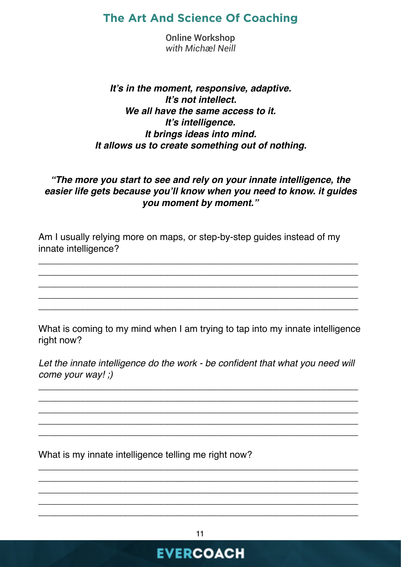Online Workshop *with Michæl Neill*

#### *It's in the moment, responsive, adaptive. It's not intellect. We all have the same access to it. It's intelligence. It brings ideas into mind. It allows us to create something out of nothing.*

#### *"The more you start to see and rely on your innate intelligence, the easier life gets because you'll know when you need to know. it guides you moment by moment."*

Am I usually relying more on maps, or step-by-step guides instead of my innate intelligence?

\_\_\_\_\_\_\_\_\_\_\_\_\_\_\_\_\_\_\_\_\_\_\_\_\_\_\_\_\_\_\_\_\_\_\_\_\_\_\_\_\_\_\_\_\_\_\_\_\_\_\_\_\_\_\_\_\_\_\_\_\_ \_\_\_\_\_\_\_\_\_\_\_\_\_\_\_\_\_\_\_\_\_\_\_\_\_\_\_\_\_\_\_\_\_\_\_\_\_\_\_\_\_\_\_\_\_\_\_\_\_\_\_\_\_\_\_\_\_\_\_\_\_ \_\_\_\_\_\_\_\_\_\_\_\_\_\_\_\_\_\_\_\_\_\_\_\_\_\_\_\_\_\_\_\_\_\_\_\_\_\_\_\_\_\_\_\_\_\_\_\_\_\_\_\_\_\_\_\_\_\_\_\_\_ \_\_\_\_\_\_\_\_\_\_\_\_\_\_\_\_\_\_\_\_\_\_\_\_\_\_\_\_\_\_\_\_\_\_\_\_\_\_\_\_\_\_\_\_\_\_\_\_\_\_\_\_\_\_\_\_\_\_\_\_\_ \_\_\_\_\_\_\_\_\_\_\_\_\_\_\_\_\_\_\_\_\_\_\_\_\_\_\_\_\_\_\_\_\_\_\_\_\_\_\_\_\_\_\_\_\_\_\_\_\_\_\_\_\_\_\_\_\_\_\_\_\_

What is coming to my mind when I am trying to tap into my innate intelligence right now?

Let the innate intelligence do the work - be confident that what you need will *come your way! ;)*

\_\_\_\_\_\_\_\_\_\_\_\_\_\_\_\_\_\_\_\_\_\_\_\_\_\_\_\_\_\_\_\_\_\_\_\_\_\_\_\_\_\_\_\_\_\_\_\_\_\_\_\_\_\_\_\_\_\_\_\_\_ \_\_\_\_\_\_\_\_\_\_\_\_\_\_\_\_\_\_\_\_\_\_\_\_\_\_\_\_\_\_\_\_\_\_\_\_\_\_\_\_\_\_\_\_\_\_\_\_\_\_\_\_\_\_\_\_\_\_\_\_\_ \_\_\_\_\_\_\_\_\_\_\_\_\_\_\_\_\_\_\_\_\_\_\_\_\_\_\_\_\_\_\_\_\_\_\_\_\_\_\_\_\_\_\_\_\_\_\_\_\_\_\_\_\_\_\_\_\_\_\_\_\_ \_\_\_\_\_\_\_\_\_\_\_\_\_\_\_\_\_\_\_\_\_\_\_\_\_\_\_\_\_\_\_\_\_\_\_\_\_\_\_\_\_\_\_\_\_\_\_\_\_\_\_\_\_\_\_\_\_\_\_\_\_ \_\_\_\_\_\_\_\_\_\_\_\_\_\_\_\_\_\_\_\_\_\_\_\_\_\_\_\_\_\_\_\_\_\_\_\_\_\_\_\_\_\_\_\_\_\_\_\_\_\_\_\_\_\_\_\_\_\_\_\_\_

What is my innate intelligence telling me right now?

**EVERCOACH** 

\_\_\_\_\_\_\_\_\_\_\_\_\_\_\_\_\_\_\_\_\_\_\_\_\_\_\_\_\_\_\_\_\_\_\_\_\_\_\_\_\_\_\_\_\_\_\_\_\_\_\_\_\_\_\_\_\_\_\_\_\_ \_\_\_\_\_\_\_\_\_\_\_\_\_\_\_\_\_\_\_\_\_\_\_\_\_\_\_\_\_\_\_\_\_\_\_\_\_\_\_\_\_\_\_\_\_\_\_\_\_\_\_\_\_\_\_\_\_\_\_\_\_ \_\_\_\_\_\_\_\_\_\_\_\_\_\_\_\_\_\_\_\_\_\_\_\_\_\_\_\_\_\_\_\_\_\_\_\_\_\_\_\_\_\_\_\_\_\_\_\_\_\_\_\_\_\_\_\_\_\_\_\_\_ \_\_\_\_\_\_\_\_\_\_\_\_\_\_\_\_\_\_\_\_\_\_\_\_\_\_\_\_\_\_\_\_\_\_\_\_\_\_\_\_\_\_\_\_\_\_\_\_\_\_\_\_\_\_\_\_\_\_\_\_\_ \_\_\_\_\_\_\_\_\_\_\_\_\_\_\_\_\_\_\_\_\_\_\_\_\_\_\_\_\_\_\_\_\_\_\_\_\_\_\_\_\_\_\_\_\_\_\_\_\_\_\_\_\_\_\_\_\_\_\_\_\_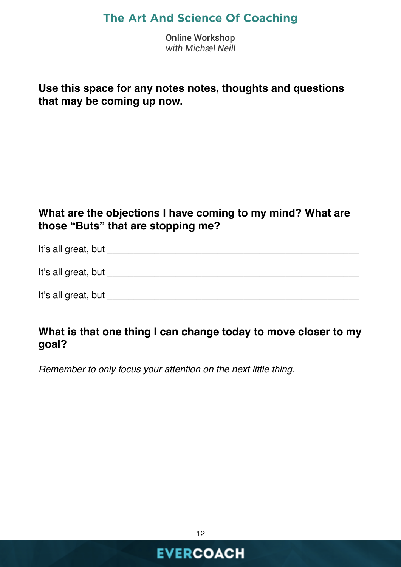Online Workshop *with Michæl Neill*

#### **Use this space for any notes notes, thoughts and questions that may be coming up now.**

#### **What are the objections I have coming to my mind? What are those "Buts" that are stopping me?**

It's all great, but **It's** all great, but **It's** all great, but **It's** all great the structure of the structure of the structure of the structure of the structure of the structure of the structure of the structure of the s

It's all great, but **It's** all great, but **It's** all great and  $\mathbf{I}$ 

It's all great, but \_\_\_\_\_\_\_\_\_\_\_\_\_\_\_\_\_\_\_\_\_\_\_\_\_\_\_\_\_\_\_\_\_\_\_\_\_\_\_\_\_\_\_\_\_\_\_\_

#### **What is that one thing I can change today to move closer to my goal?**

*Remember to only focus your attention on the next little thing.*

12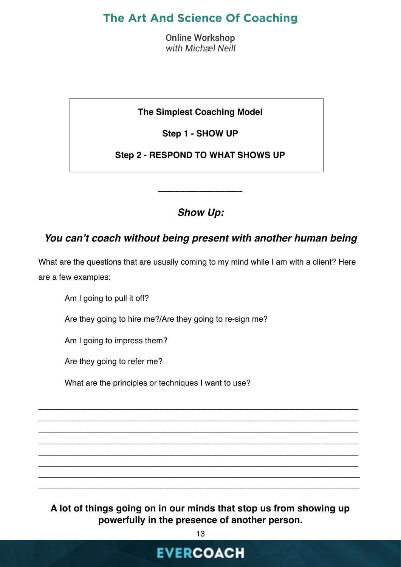Online Workshop *with Michæl Neill*

**The Simplest Coaching Model**

**Step 1 - SHOW UP**

**Step 2 - RESPOND TO WHAT SHOWS UP**

*Show Up:*

*\_\_\_\_\_\_\_\_\_\_\_\_\_\_\_*

#### *You can't coach without being present with another human being*

What are the questions that are usually coming to my mind while I am with a client? Here are a few examples:

Am I going to pull it off?

Are they going to hire me?/Are they going to re-sign me?

Am I going to impress them?

Are they going to refer me?

What are the principles or techniques I want to use?

**A lot of things going on in our minds that stop us from showing up powerfully in the presence of another person.**

\_\_\_\_\_\_\_\_\_\_\_\_\_\_\_\_\_\_\_\_\_\_\_\_\_\_\_\_\_\_\_\_\_\_\_\_\_\_\_\_\_\_\_\_\_\_\_\_\_\_\_\_\_\_\_\_\_\_\_\_\_ \_\_\_\_\_\_\_\_\_\_\_\_\_\_\_\_\_\_\_\_\_\_\_\_\_\_\_\_\_\_\_\_\_\_\_\_\_\_\_\_\_\_\_\_\_\_\_\_\_\_\_\_\_\_\_\_\_\_\_\_\_ \_\_\_\_\_\_\_\_\_\_\_\_\_\_\_\_\_\_\_\_\_\_\_\_\_\_\_\_\_\_\_\_\_\_\_\_\_\_\_\_\_\_\_\_\_\_\_\_\_\_\_\_\_\_\_\_\_\_\_\_\_ \_\_\_\_\_\_\_\_\_\_\_\_\_\_\_\_\_\_\_\_\_\_\_\_\_\_\_\_\_\_\_\_\_\_\_\_\_\_\_\_\_\_\_\_\_\_\_\_\_\_\_\_\_\_\_\_\_\_\_\_\_ \_\_\_\_\_\_\_\_\_\_\_\_\_\_\_\_\_\_\_\_\_\_\_\_\_\_\_\_\_\_\_\_\_\_\_\_\_\_\_\_\_\_\_\_\_\_\_\_\_\_\_\_\_\_\_\_\_\_\_\_\_ \_\_\_\_\_\_\_\_\_\_\_\_\_\_\_\_\_\_\_\_\_\_\_\_\_\_\_\_\_\_\_\_\_\_\_\_\_\_\_\_\_\_\_\_\_\_\_\_\_\_\_\_\_\_\_\_\_\_\_\_\_  $\frac{1}{2}$  , and the contribution of the contribution of the contribution of the contribution of the contribution of the contribution of the contribution of the contribution of the contribution of the contribution of the c  $\overline{\phantom{a}}$  , and the contribution of the contribution of the contribution of the contribution of the contribution of the contribution of the contribution of the contribution of the contribution of the contribution of the

13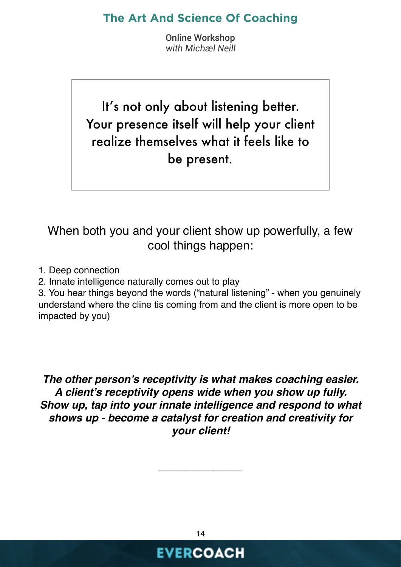Online Workshop *with Michæl Neill*

It's not only about listening better. Your presence itself will help your client realize themselves what it feels like to be present.

# When both you and your client show up powerfully, a few cool things happen:

- 1. Deep connection
- 2. Innate intelligence naturally comes out to play

3. You hear things beyond the words ("natural listening" - when you genuinely understand where the cline tis coming from and the client is more open to be impacted by you)

*The other person's receptivity is what makes coaching easier. A client's receptivity opens wide when you show up fully. Show up, tap into your innate intelligence and respond to what shows up - become a catalyst for creation and creativity for your client!*

**EVERCOACH** 

*\_\_\_\_\_\_\_\_\_\_\_\_\_\_\_*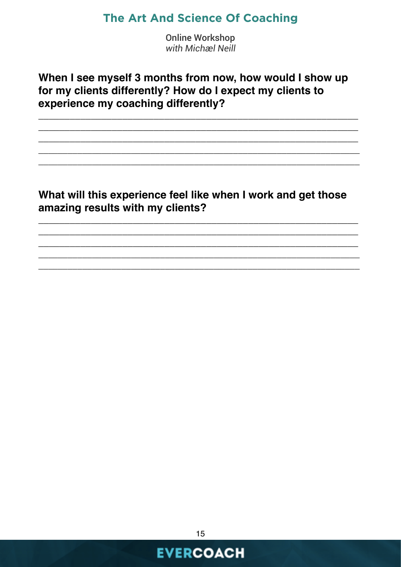**Online Workshop** with Michæl Neill

#### When I see myself 3 months from now, how would I show up for my clients differently? How do I expect my clients to experience my coaching differently?

#### What will this experience feel like when I work and get those amazing results with my clients?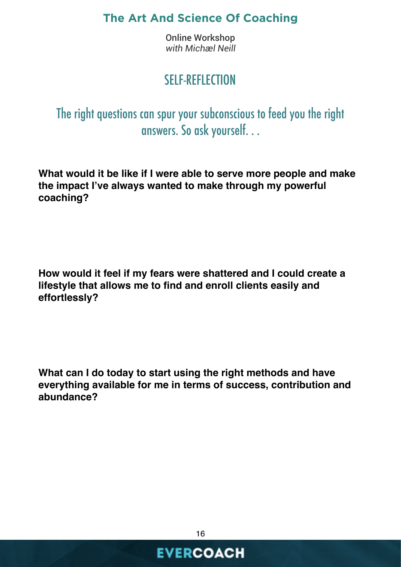Online Workshop *with Michæl Neill*

# SELF-REFLECTION

The right questions can spur your subconscious to feed you the right answers. So ask yourself. . .

**What would it be like if I were able to serve more people and make the impact I've always wanted to make through my powerful coaching?**

**How would it feel if my fears were shattered and I could create a lifestyle that allows me to find and enroll clients easily and effortlessly?** 

**What can I do today to start using the right methods and have everything available for me in terms of success, contribution and abundance?** 

16